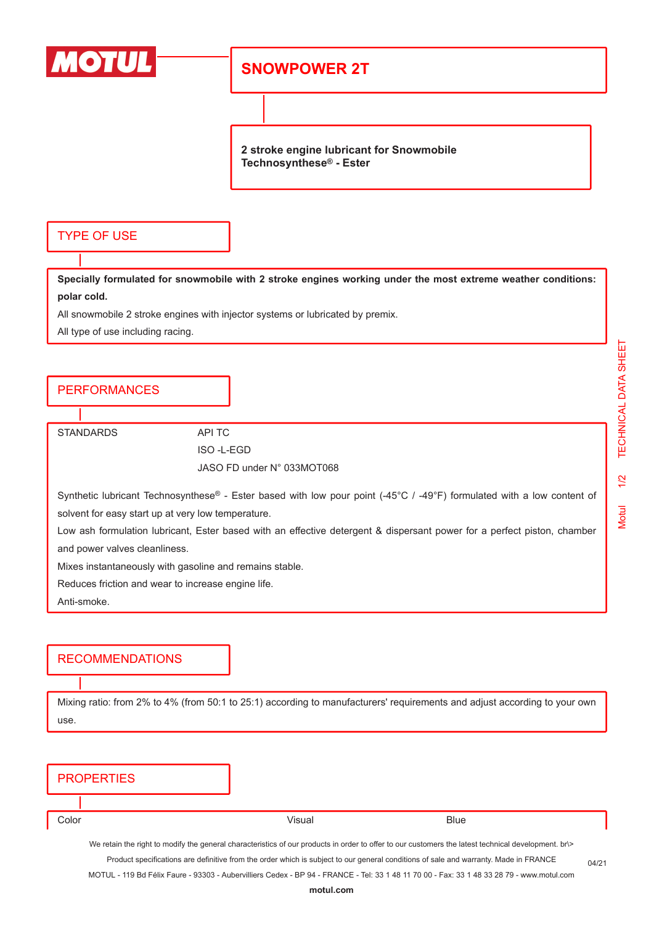

## **SNOWPOWER 2T**

**2 stroke engine lubricant for Snowmobile Technosynthese® - Ester**

### TYPE OF USE

**Specially formulated for snowmobile with 2 stroke engines working under the most extreme weather conditions: polar cold.**

All snowmobile 2 stroke engines with injector systems or lubricated by premix.

All type of use including racing.

## PERFORMANCES

STANDARDS API TC

ISO -L-EGD JASO FD under N° 033MOT068

| Synthetic lubricant Technosynthese® - Ester based with low pour point (-45°C / -49°F) formulated with a low content of |  |  |  |  |  |  |
|------------------------------------------------------------------------------------------------------------------------|--|--|--|--|--|--|
| solvent for easy start up at very low temperature.                                                                     |  |  |  |  |  |  |

Low ash formulation lubricant, Ester based with an effective detergent & dispersant power for a perfect piston, chamber and power valves cleanliness.

Mixes instantaneously with gasoline and remains stable.

Reduces friction and wear to increase engine life.

Anti-smoke.

### RECOMMENDATIONS

Mixing ratio: from 2% to 4% (from 50:1 to 25:1) according to manufacturers' requirements and adjust according to your own use.

| <b>PROPERTIES</b>                                                                                                                             |        |                                                                                                                                                     |  |  |  |  |
|-----------------------------------------------------------------------------------------------------------------------------------------------|--------|-----------------------------------------------------------------------------------------------------------------------------------------------------|--|--|--|--|
|                                                                                                                                               |        |                                                                                                                                                     |  |  |  |  |
| Color                                                                                                                                         | Visual | <b>Blue</b>                                                                                                                                         |  |  |  |  |
|                                                                                                                                               |        | We retain the right to modify the general characteristics of our products in order to offer to our customers the latest technical development. br\> |  |  |  |  |
| Product specifications are definitive from the order which is subject to our general conditions of sale and warranty. Made in FRANCE<br>04/21 |        |                                                                                                                                                     |  |  |  |  |
| MOTUL - 119 Bd Félix Faure - 93303 - Aubervilliers Cedex - BP 94 - FRANCE - Tel: 33 1 48 11 70 00 - Fax: 33 1 48 33 28 79 - www.motul.com     |        |                                                                                                                                                     |  |  |  |  |